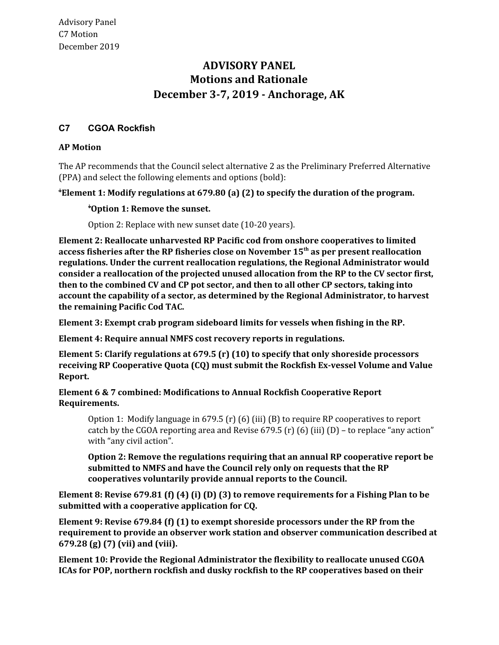# **Motions and Rationale December 3-7, 2019 - Anchorage, AK ADVISORY PANEL**

## **C7 CGOA Rockfish**

#### **AP Motion**

 The AP recommends that the Council select alternative 2 as the Preliminary Preferred Alternative (PPA) and select the following elements and options (bold):

### 1 **Element 1: Modify regulations at 679.80 (a) (2) to specify the duration of the program.**

### 1 **Option 1: Remove the sunset.**

Option 2: Replace with new sunset date (10-20 years).

 **Element 2: Reallocate unharvested RP Pacific cod from onshore cooperatives to limited access fisheries after the RP fisheries close on November 15th as per present reallocation regulations. Under the current reallocation regulations, the Regional Administrator would consider a reallocation of the projected unused allocation from the RP to the CV sector first, then to the combined CV and CP pot sector, and then to all other CP sectors, taking into account the capability of a sector, as determined by the Regional Administrator, to harvest the remaining Pacific Cod TAC.**

 **Element 3: Exempt crab program sideboard limits for vessels when fishing in the RP.**

 **Element 4: Require annual NMFS cost recovery reports in regulations.**

 **Element 5: Clarify regulations at 679.5 (r) (10) to specify that only shoreside processors receiving RP Cooperative Quota (CQ) must submit the Rockfish Ex-vessel Volume and Value Report.**

### **Element 6 & 7 combined: Modifications to Annual Rockfish Cooperative Report Requirements.**

 Option 1: Modify language in 679.5 (r) (6) (iii) (B) to require RP cooperatives to report catch by the CGOA reporting area and Revise 679.5 (r) (6) (iii) (D) – to replace "any action" with "any civil action".

 **Option 2: Remove the regulations requiring that an annual RP cooperative report be submitted to NMFS and have the Council rely only on requests that the RP cooperatives voluntarily provide annual reports to the Council.**

Element 8: Revise 679.81 (f) (4) (i) (D) (3) to remove requirements for a Fishing Plan to be  **submitted with a cooperative application for CQ.**

 **Element 9: Revise 679.84 (f) (1) to exempt shoreside processors under the RP from the requirement to provide an observer work station and observer communication described at 679.28 (g) (7) (vii) and (viii).**

 **Element 10: Provide the Regional Administrator the flexibility to reallocate unused CGOA ICAs for POP, northern rockfish and dusky rockfish to the RP cooperatives based on their**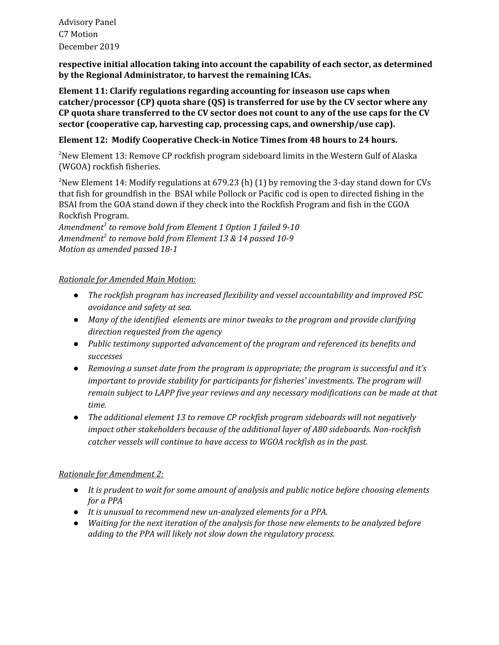Advisory Panel C7 Motion December 2019

 **respective initial allocation taking into account the capability of each sector, as determined by the Regional Administrator, to harvest the remaining ICAs.**

 **Element 11: Clarify regulations regarding accounting for inseason use caps when catcher/processor (CP) quota share (QS) is transferred for use by the CV sector where any** CP quota share transferred to the CV sector does not count to any of the use caps for the CV  **sector (cooperative cap, harvesting cap, processing caps, and ownership/use cap).**

#### **Element 12: Modify Cooperative Check-in Notice Times from 48 hours to 24 hours.**

 $^{2}$ New Element 13: Remove CP rockfish program sideboard limits in the Western Gulf of Alaska (WGOA) rockfish fisheries.

<sup>2</sup>New Element 14: Modify regulations at 679.23 (h) (1) by removing the 3-day stand down for CVs that fish for groundfish in the BSAI while Pollock or Pacific cod is open to directed fishing in the BSAI from the GOA stand down if they check into the Rockfish Program and fish in the CGOA Rockfish Program.

 *Amendment<sup>1</sup> to remove bold from Element 1 Option 1 failed 9-10 Amendment*<sup>2</sup> *to remove bold from Element 13 & 14 passed 10-9 Motion as amended passed 18-1*

### *Rationale for Amended Main Motion:*

- *● The rockfish program has increased flexibility and vessel accountability and improved PSC avoidance and safety at sea.*
- *● Many of the identified elements are minor tweaks to the program and provide clarifying direction requested from the agency*
- *● Public testimony supported advancement of the program and referenced its benefits and successes*
- *● Removing a sunset date from the program is appropriate; the program is successful and it's important to provide stability for participants for fisheries' investments. The program will remain subject to LAPP five year reviews and any necessary modifications can be made at that time.*
- *● The additional element 13 to remove CP rockfish program sideboards will not negatively impact other stakeholders because of the additional layer of A80 sideboards. Non-rockfish catcher vessels will continue to have access to WGOA rockfish as in the past.*

## *Rationale for Amendment 2:*

- *● It is prudent to wait for some amount of analysis and public notice before choosing elements for a PPA*
- *● It is unusual to recommend new un-analyzed elements for a PPA.*
- *● Waiting for the next iteration of the analysis for those new elements to be analyzed before adding to the PPA will likely not slow down the regulatory process.*